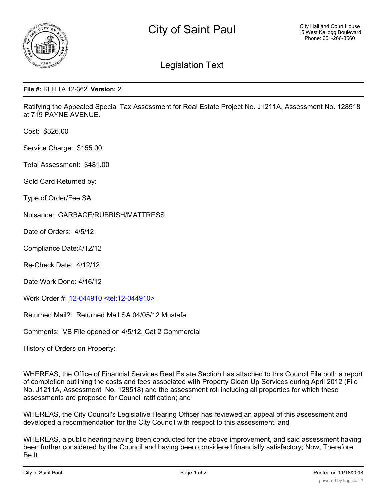

## Legislation Text

## **File #:** RLH TA 12-362, **Version:** 2

Ratifying the Appealed Special Tax Assessment for Real Estate Project No. J1211A, Assessment No. 128518 at 719 PAYNE AVENUE.

Cost: \$326.00

Service Charge: \$155.00

Total Assessment: \$481.00

Gold Card Returned by:

Type of Order/Fee:SA

Nuisance: GARBAGE/RUBBISH/MATTRESS.

Date of Orders: 4/5/12

Compliance Date:4/12/12

Re-Check Date: 4/12/12

Date Work Done: 4/16/12

Work Order #: 12-044910 <tel:12-044910>

Returned Mail?: Returned Mail SA 04/05/12 Mustafa

Comments: VB File opened on 4/5/12, Cat 2 Commercial

History of Orders on Property:

WHEREAS, the Office of Financial Services Real Estate Section has attached to this Council File both a report of completion outlining the costs and fees associated with Property Clean Up Services during April 2012 (File No. J1211A, Assessment No. 128518) and the assessment roll including all properties for which these assessments are proposed for Council ratification; and

WHEREAS, the City Council's Legislative Hearing Officer has reviewed an appeal of this assessment and developed a recommendation for the City Council with respect to this assessment; and

WHEREAS, a public hearing having been conducted for the above improvement, and said assessment having been further considered by the Council and having been considered financially satisfactory; Now, Therefore, Be It